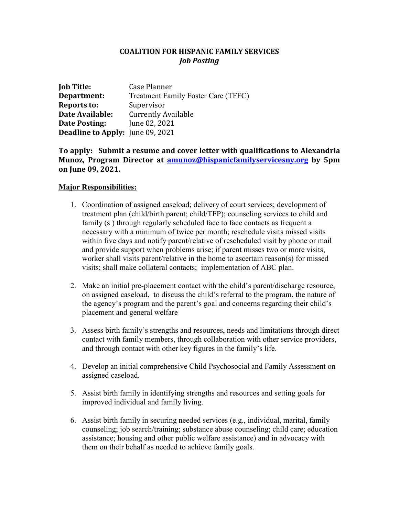## **COALITION FOR HISPANIC FAMILY SERVICES** *Job Posting*

| <b>Job Title:</b>                       | Case Planner                               |
|-----------------------------------------|--------------------------------------------|
| Department:                             | <b>Treatment Family Foster Care (TFFC)</b> |
| <b>Reports to:</b>                      | Supervisor                                 |
| Date Available:                         | <b>Currently Available</b>                 |
| Date Posting:                           | June 02, 2021                              |
| <b>Deadline to Apply:</b> June 09, 2021 |                                            |

**To apply: Submit a resume and cover letter with qualifications to Alexandria Munoz, Program Director at [amunoz@hispanicfamilyservicesny.org](mailto:amunoz@hispanicfamilyservicesny.org) by 5pm on June 09, 2021.**

## **Major Responsibilities:**

- 1. Coordination of assigned caseload; delivery of court services; development of treatment plan (child/birth parent; child/TFP); counseling services to child and family (s ) through regularly scheduled face to face contacts as frequent a necessary with a minimum of twice per month; reschedule visits missed visits within five days and notify parent/relative of rescheduled visit by phone or mail and provide support when problems arise; if parent misses two or more visits, worker shall visits parent/relative in the home to ascertain reason(s) for missed visits; shall make collateral contacts; implementation of ABC plan.
- 2. Make an initial pre-placement contact with the child's parent/discharge resource, on assigned caseload, to discuss the child's referral to the program, the nature of the agency's program and the parent's goal and concerns regarding their child's placement and general welfare
- 3. Assess birth family's strengths and resources, needs and limitations through direct contact with family members, through collaboration with other service providers, and through contact with other key figures in the family's life.
- 4. Develop an initial comprehensive Child Psychosocial and Family Assessment on assigned caseload.
- 5. Assist birth family in identifying strengths and resources and setting goals for improved individual and family living.
- 6. Assist birth family in securing needed services (e.g., individual, marital, family counseling; job search/training; substance abuse counseling; child care; education assistance; housing and other public welfare assistance) and in advocacy with them on their behalf as needed to achieve family goals.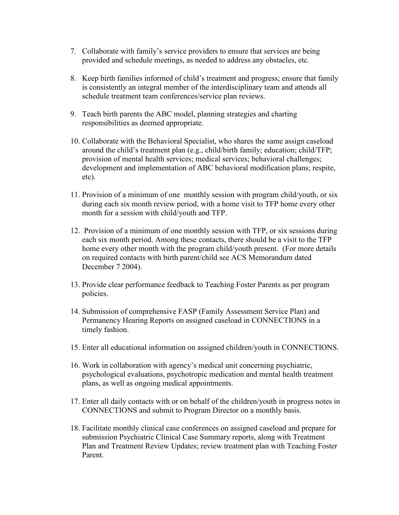- 7. Collaborate with family's service providers to ensure that services are being provided and schedule meetings, as needed to address any obstacles, etc.
- 8. Keep birth families informed of child's treatment and progress; ensure that family is consistently an integral member of the interdisciplinary team and attends all schedule treatment team conferences/service plan reviews.
- 9. Teach birth parents the ABC model, planning strategies and charting responsibilities as deemed appropriate.
- 10. Collaborate with the Behavioral Specialist, who shares the same assign caseload around the child's treatment plan (e.g., child/birth family; education; child/TFP; provision of mental health services; medical services; behavioral challenges; development and implementation of ABC behavioral modification plans; respite, etc).
- 11. Provision of a minimum of one monthly session with program child/youth, or six during each six month review period, with a home visit to TFP home every other month for a session with child/youth and TFP.
- 12. Provision of a minimum of one monthly session with TFP, or six sessions during each six month period. Among these contacts, there should be a visit to the TFP home every other month with the program child/youth present. (For more details on required contacts with birth parent/child see ACS Memorandum dated December 7 2004).
- 13. Provide clear performance feedback to Teaching Foster Parents as per program policies.
- 14. Submission of comprehensive FASP (Family Assessment Service Plan) and Permanency Hearing Reports on assigned caseload in CONNECTIONS in a timely fashion.
- 15. Enter all educational information on assigned children/youth in CONNECTIONS.
- 16. Work in collaboration with agency's medical unit concerning psychiatric, psychological evaluations, psychotropic medication and mental health treatment plans, as well as ongoing medical appointments.
- 17. Enter all daily contacts with or on behalf of the children/youth in progress notes in CONNECTIONS and submit to Program Director on a monthly basis.
- 18. Facilitate monthly clinical case conferences on assigned caseload and prepare for submission Psychiatric Clinical Case Summary reports, along with Treatment Plan and Treatment Review Updates; review treatment plan with Teaching Foster Parent.